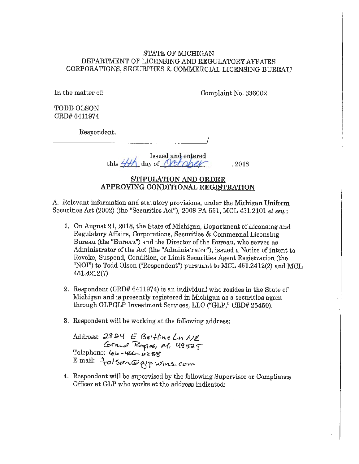## STATE OF MICHIGAN DEPARTMENT OF LICENSING AND REGULATORY AFFAIRS CORPORATIONS, SECURITIES & COMMERCIAL LICENSING BUREAU

In the matter of: Complaint No. 336002

TODD OLSON CRD# 6411974

Respondent. *\_\_\_\_\_\_\_\_\_\_\_\_\_\_\_\_\_\_ !* 

### $\frac{1}{100}$  issued and enfered this  $H$  day of  $Qt$  only  $\sim$ , 2018

# **STIPULATION AND ORDER APPROVING CONDITIONAL REGISTRATION**

A. Relevant information and statutory provisions, under the Michigan Uniform Securities Act (2002) (the "Securities Act"), 2008 PA 651, MOL 451.2101 *et seq.:* 

- 1. On August 21, 2018. the State of Michigan, Department of Licensing and Regulatory Affairs, Corporations, Securities & Commercial Licensing Bureau (the "Bureau") and the Director of the Bureau, who serves as Administrator of the Act (the "Administrator"), issued a Notice of Intent to Revoke, Suspend, Condition, or Limit Securities Agent Registration (the "NOI") to Todd Olson ("Respondent") pursuant to MCL 451.2412(2) and MCL 461.4212(7).
- 2. Respondent (CRD# 6411974) is an individual who resides in the State of Michigan and is presently registered in Michigan as a securities agent through GLPGLP Investment Services, LLC ("GLP," CRD# 25450).
- 3. Respondent will be working at the following address:

Address: 2824 E Beltline Ln NE Grand Rapids, al, 49525 Telephone: Gle-*4de-6*z88<br>E-mail: *folson.@*alpwins.*com* 

4. Respondent will be supervised by the following Supervisor or Compliance Officer at GLP who works at the address indicated: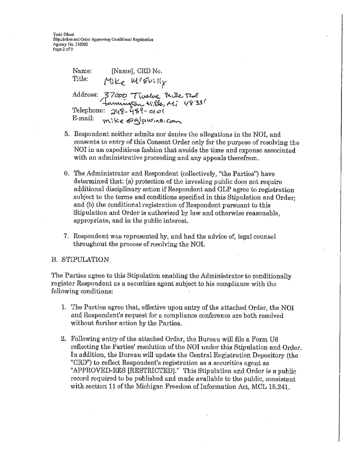Todd Olson Stipulation and Order Approving Conditional Registration Agency No. 336002 Page 2 of 9

Namo: [Name], CRD No. Title: Mike MiEvilly Address: 37000 Twelve Mile Teol<br>Jaunington Hills, Mi 4833/<br>Telephone: 248-489-0101 E-mail: mike @alpwinsicom

- 5. Respondent neither admits nor denies the allegations in the NOI, and consents to entry of this Consent Order only for the purpose of resolving the NOI in an expeditious fashion that avoids the time and expense associated with an administrative proceeding and any appeals therefrom.
- 6. The Administrator and Respondent (collectively, "the Parties") have determined that: (a) protection of the investing public does not require additional disciplinary action if Respondent and GLP agree to registration subject to the terms and conditions specified in this Stipulation and Order: and (b) the conditional registration of Respondent pursuant to this Stipulation and Order is authorized by law and otherwise reasonable, appropriate, and in the public interest.
- 7. Respondent was represented by, and had the advice of, legal counsel throughout the process of resolving the NOI.

#### **B. STIPULATION**

The Parties agree to this Stipulation enabling the Administrator to conditionally register Respondent as a securities agent subject to his compliance with the following conditions:

- 1. The Parties agree that, effective upon entry of the attached Order, the NOI and Respondent's request for a compliance conference are both resolved without further action by the Parties.
- 2. Following entry of the attached Order, the Bureau will file a Form U6 reflecting the Parties' resolution of the NOI under this Stipulation and Order. In addition, the Bureau will update the Central Registration Depository (the "CRD") to reflect Respondent's registration as a securities agent as "APPROVED-RES [RESTRICTED]." This Stipulation and Order is a public record required to be published and made available to the public, consistent with section 11 of the Michigan Freedom of Information Act, MCL 15,241.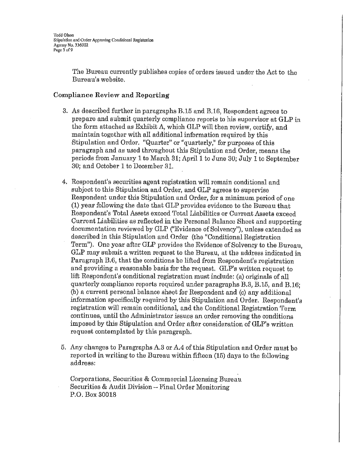The Bureau currently publishes copies of orders issued under the Act to the Bureau's website.

## **Compliance Review and Reporting**

- 3. As described further in paragraphs B.16 and B.16, Respondent agrees to prepare and submit quarterly compliance reports to his supervisor at GLP in the form attached as Exhibit A, which GLP will then review, certify, and maintain together with all additional information required by this Stipulation and Order. "Quarter" or "quarterly," for purposes of this paragraph and as used throughout this Stipulation and Order, means the periods from January 1 to March 31; April 1 to June 30; July 1 to September 30; and October 1 to December 31.
- 4. Respondent's securities agent registration will remain conditional and subject to this Stipulation and Order, and GLP agrees to supervise Respondent under this Stipulation and Order, for a minimum period of one  $(1)$  year following the date that GLP provides evidence to the Bureau that Respondent's Total Assets exceed Total Liabilities or Current Assets exceed Current Liabilities as reflected in the Personal Balance Sheet and supporting documentation reviewed by GLP ("Evidence of Solvency"), unless extended as described in this Stipulation and Order (the "Conditional Registration Term"). One year after GLP provides the Evidence of Solvency to the Bureau, GLP may submit a written request to the Bureau, at the address indicated in Paragraph B.6, that the conditions be lifted from Respondent's registration and providing a reasonable basis for the request.  $GLP$ 's written request to lift Respondent's conditional registration must include: (a) originals of all quarterly compliance reports required under paragraphs B.3, B.15, and B.16; (b) a current personal balance sheet for Respondent and (c) any additional information specifically required by this Stipulation and Order. Respondent's registration will remain conditional, and the Conditional Registration Term continues, until the Administrator issues an order removing the conditions imposed by this Stipulation and Order after consideration of GLP's written request contemplated by this paragraph.
- 5. Any changes to Paragraphs A.3 or A.4 of this Stipulation and Order must be reported in writing to the Bureau within fifteen (15) days to the following address:

Corporations, Securities & Commercial Licensing Bureau Securities & Audit Division - Final Order Monitoring P.O. Box 30018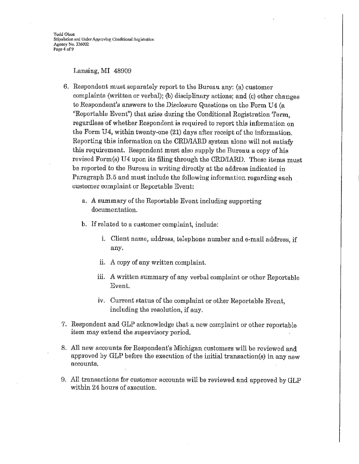Lansing, MI 48909

- 6. Respondent must separately report to the Bureau any: (a) customer complaints (written or verbal); (b) disciplinary actions; and (c) other changes to Respondent's answers to the Disclosure Questions on the Form U4 (a "Reportable Event") that arise during the Conditional Registration Term, regardless of whether Respondent is required to report this information on the Form U4, within twenty-one (21) days after receipt of the information. Reporting this information on the CRD/IARD system alone will not satisfy this requirement. Respondent must also supply the Bureau a copy of his revised Form(s) U4 upon its filing through the CRD/IARD. These items must be reported to the Bureau in writing directly at the address indicated in Paragraph B.5 and must include the following information regarding each customer complaint or Reportable Event:
	- a. A summary of the Reportable Event including supporting documentation.
	- b. If related to a customer complaint, include:
		- i. Client name, address, telephone number and e-mail address, if any.
		- ii. A copy of any written complaint.
		- iii. A written summary of any verbal complaint or other Reportable Event.
		- iv. Current status of the complaint or other Reportable Event, including the resolution, if any.
- 7. Respondent and GLP acknowledge that a new complaint or other reportable item may extend the supervisory period.
- 8. All new accounts for Respondent's Michigan customers will be reviewed and approved by GLP before the execution of the initial transaction(s) in any new accounts.
- 9. All transactions for customer accounts will be reviewed and approved by GLP within 24 hours of execution.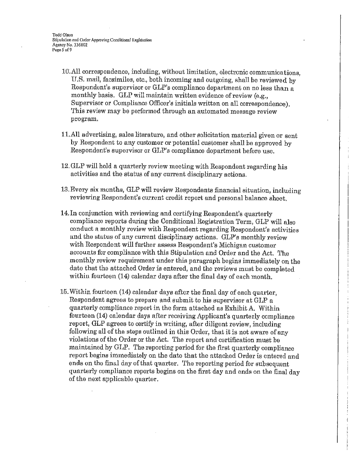Todd Olson Stipulation and Order Approving Conditional Registration Agonoy No. 336002 Page 5 of 9

- 10. All correspondence, including, without limitation, electronic communications, U.S. mail, facsimiles, etc., both incoming and outgoing, shall be reviewed by Respondent's supervisor or  $GLP$ 's compliance department on no less than a monthly basis. GLP will maintain written evidence of review (e.g., Supervisor or Compliance Officer's initials written on all correspondence). This review may be performed through an automated message review program.
- 11.All advertising, sales literature, and other solicitation material given or sent by Respondent to any customer or potential customer shall be approved by Respondent's supervisor or GLP's compliance department before use.
- 12. GLP will hold a quarterly review meeting with Respondent regarding his activities and the status of any current disciplinary actions.
- 13. Every six months, GLP will review Respondents financial situation, including reviewing Respondent's current credit report and personal balance sheet.
- 14. In conjunction with reviewing and certifying.Respondent's quarterly compliance reports during the Conditional Registration Term, GLP will also conduct a monthly review with Respondent regarding Respondent's activities and the status of any current disciplinary actions. GLP's monthly review with Respondent will further assess Respondent's Michigan customer accounts for compliance with this Stipulation and Order and the Act. The monthly review requirement under this paragraph begins immediately on the date that the attached Order is entered, and the reviews must be completed within fourteen (14) calendar days after the final day of each month.
- 15. Within fourteen (14) calendar days after the final day of each quarter, Respondent agrees to prepare and submit to his supervisor at GLP a quarterly compliance report in the form attached as Exhibit A. Within fourteen (14) calendar days after receiving Applicant's quarterly compliance report, GLP agrees to certify in writing, after diligent review, including following all of the steps outlined in this Order, that it is not aware of any violations of the Order or the Act. The report and certification must be maintained by GLP. The reporting period for the first quarterly compliance report begins immediately on the date that the attached Order is entered and ends on the final day of that quarter. The reporting period for subsequent quarterly compliance reports begins on the first day and ends on the final day of the next applicable quarter.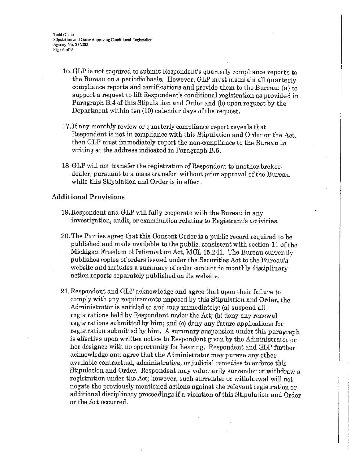- 16. GLP is not required to submit Respondent's quarterly compliance reports to the Bureau on a periodic basis. However, GLP must maintain all quarterly compliance reports and certifications and provide them to the Bureau: (a) to support a request to lift Respondent's conditional registration as provided in Paragraph B.4 of this Stipulation and Order and (b) upon request by the Department within ten (10) calendar days of the request.
- 17, If any monthly review or quarterly compliance report reveals that Respondent is not in compliance with this Stipulation and Order or the Act, then GLP must immediately report the non-compliance to the Bureau in writing at the address indicated in Paragraph B.5.
- 18. OLP will not transfer the registration of Respondent to another brokerdealer, pursuant to a mass transfer, without prior approval of the Bureau while this Stipulation and Order is **in** effect.

### **Additional Provisions**

- 19.Respondent and GLP will fully cooperate with the Bureau in any investigation, audit, or examination relating to Registrant's activities.
- 20. The Parties agree that this Consent Order is a public record required to be published and made available to the public, consistent with section 11 of the Michigan Freedom of Information Act, MCL 15.241. The Bureau currently publishes copies of orders issued under the Securities Act to the Bureau's website and includes a summary of order content in monthly disciplinary action reports separately published on its website.
- 21. Respondent and GLP acknowledge and agree that upon their failure to comply with any requirements imposed by this Stipulation and Order, the Administrator is entitled to and may immediately: (a) suspend all registrations held by Respondent under the Act; (b) deny any renewal registrations submitted by him; and (c) deny any future applications for registration submitted by him. A summary suspension under this paragraph is effective upon written notice to Respondent given by the Administrator or her designee with no opportunity for hearing. Respondent and GLP further acknowledge and agree that the Administrator may pursue any other available contractual, administrative, or judicial remedies to enforce this Stipulation and Order. Respondent may voluntarily surrender or withdraw a registration under the Act; however, such surrender or withdrawal will not negate the previously mentioned actions against the relevant registration or additional disciplinary proceedings if a violation of this Stipulation and Order or the Act occurred.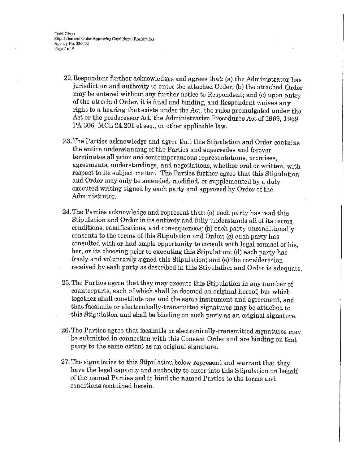- 22. Respondent further acknowledges and agrees that: (a) the Administrator has jurisdiction and authority to enter the attached Order; (b) the attached Order may be entered without any further notice to Respondent; and (c) upon entry of the attached Order, it is final and binding, and Respondent waives any right to a hearing that exists under the Act, the rules promulgated under the Act or the predecessor Act, the Administrative Procedures Act of 1969, 1969 PA 306, MOL 24.201 et seq., or other applicable law.
- 23. The Parties acknowledge and agree that this Stipulation and Order contains the entire understanding of the Parties and supersedes and forever terminates all prior and contemporaneous representations, promises, agreements, understandings, and negotiations, whether oral or written, with respect to its subject matter. The Patties further agree that this Stipulation and Order may only be amended, modified, or supplemented by a duly executed writing signed by each party and approved by Order of the Administrator.
- 24. The Parties acknowledge and represent that: (a) each party has read this Stipulation and Order in its entirety and fully understands all of its terms, conditions, ramifications, and consequences; (b) each party unconditionally consents to the terms of this Stipulation and Order; (c) each party has consulted with or had ample opportunity to consult with legal counsel of his, her, or its choosing prior to executing this Stipulation; (d) each party has freely and voluntarily signed this Stipulation; and (e) the consideration received by each party as described in this Stipulation and Order is adequate.
- 25. The Parties agree that they may execute this Stipulation in any number of counterparts, each of which shall be deemed an original hereof, but which together shall constitute one and the same instrument and agreement, and that facsimile or electronically-transmitted signatures may be attached to this Stipulation and shall be binding on such party as an original signature.
- 26. The Parties agree that facsimile or electronically-transmitted signatures may be submitted in connection with this Consent Order and are binding on that party to the same extent as an original signature.
- 27. The signatories to this Stipulation below represent and warrant that they have the legal capacity and authority to enter into this Stipulation on behalf of the named Parties and to bind the named Parties to the terms and conditions contained herein.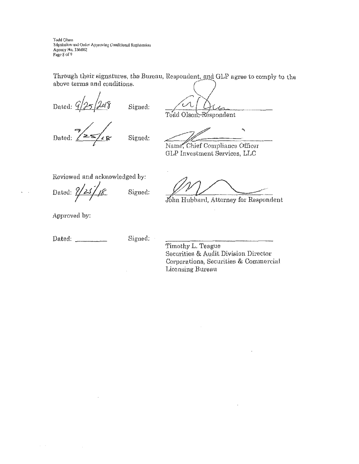Todd Olson Stipulation and Order Approving Conditional Registration Аденсу No. 336002 Page 8 of 9

Through their signatures, the Bureau, Respondent, and GLP agree to comply to the above terms and conditions.

Dated: 9 Signed:

Dated:

Signed:

Todd Olson, Respondent

 $\ddot{\phantom{0}}$ Name, Chief Compliance Officer

GLP Investment Services, LLC

Reviewed and acknowledged by:

Dated:  $\zeta$ Signed:

John Hubbard, Attorney for Respondent

Approved by:

 $\sim$ 

Dated:  $\frac{1}{2}$ 

Signed:

Timothy L. Teague Securities & Audit Division Director Corporations, Securities & Commercial Licensing Bureau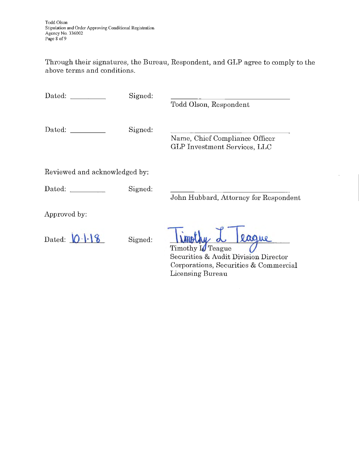Through their signatures, the Bureau, Respondent, and GLP agree to comply to the above terms and conditions.

Dated: Signed: Signed:

Todd Olson, Respondent

Dated: Signed:

Name, Chief Compliance Officer GLP Investment Services, LLC

Reviewed and acknowledged by:

Dated: Signed:

John Hubbard, Attorney for Respondent

Approved by:

Dated:  $\bigcirc \cdot \cdot \cdot \circ$  Signed:

laque

Timothy **I** Teague Securities & Audit Division Director Corporations, Securities & Commercial Licensing Bureau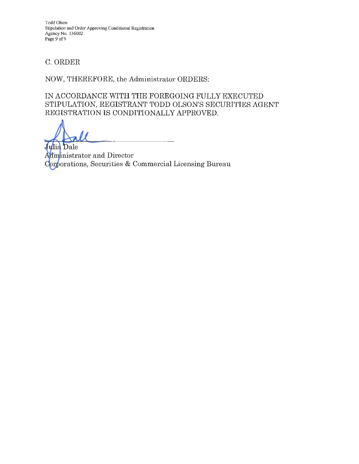Todd Olson Stipulation and Order Approving Conditional Registration Agency No. 336002 Page 9 of 9

# C. ORDER

NOW, THEREFORE, the Administrator ORDERS:

IN ACCORDANCE WITH THE FOREGOING FULLY EXECUTED STIPULATION, REGISTRANT TODD OLSON'S SECURITIES AGENT REGISTRATION IS CONDITIONALLY APPROVED.

Julia Dale Administrator and Director Corporations, Securities & Commercial Licensing Bureau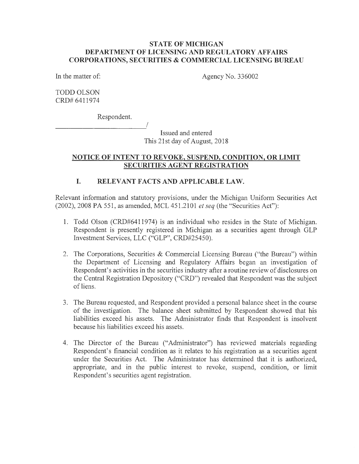## **STATE OF MICHIGAN DEPARTMENT OF LICENSING AND REGULATORY AFFAIRS CORPORATIONS, SECURITIES & COMMERCIAL LICENSING BUREAU**

In the matter of:

Agency No. 336002

TODD OLSON CRD# 6411974

Respondent.

Issued and entered This 21st day of August, 2018

# **NOTICE OF INTENT TO REVOKE, SUSPEND, CONDITION, OR LIMIT SECURITIES AGENT REGISTRATION**

# **I. RELEVANT FACTS AND APPLICABLE LAW.**

I

Relevant information and statutory provisions, under the Michigan Uniform Securities Act (2002), 2008 PA 551, as amended, MCL 451.2101 *et seq* (the "Securities Act"):

- 1. Todd Olson (CRD#6411974) is an individual who resides in the State of Michigan. Respondent is presently registered in Michigan as a securities agent through GLP Investment Services, LLC ("GLP", CRD#25450).
- 2. The Corporations, Securities & Commercial Licensing Bureau ("the Bureau") within the Department of Licensing and Regulatory Affairs began an investigation of Respondent's activities in the securities industry after a routine review of disclosures on the Central Registration Depository ("CRD") revealed that Respondent was the subject of liens.
- 3. The Bureau requested, and Respondent provided a personal balance sheet in the course of the investigation. The balance sheet submitted by Respondent showed that his liabilities exceed his assets. The Administrator finds that Respondent is insolvent because his liabilities exceed his assets.
- 4. The Director of the Bureau ("Administrator") has reviewed materials regarding Respondent's financial condition as it relates to his registration as a securities agent under the Securities Act. The Administrator has determined that it is authorized, appropriate, and in the public interest to revoke, suspend, condition, or limit Respondent's securities agent registration.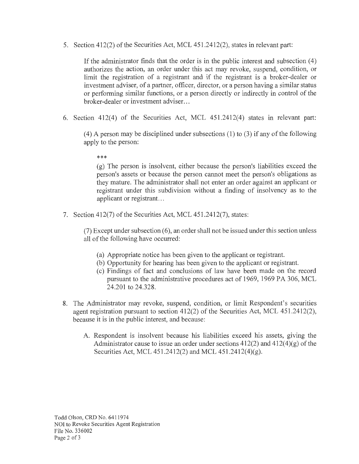5. Section 412(2) of the Securities Act, MCL 451.2412(2), states in relevant part:

If the administrator finds that the order is in the public interest and subsection ( 4) authorizes the action, an order under this act may revoke, suspend, condition, or limit the registration of a registrant and if the registrant is a broker-dealer or investment adviser, of a partner, officer, director, or a person having a similar status or performing similar functions, or a person directly or indirectly in control of the broker-dealer or investment adviser ...

6. Section  $412(4)$  of the Securities Act, MCL  $451.2412(4)$  states in relevant part:

(4) A person may be disciplined under subsections (1) to (3) if any of the following apply to the person:

\*\*\*

(g) The person is insolvent, either because the person's liabilities exceed the person's assets or because the person cannot meet the person's obligations as they mature. The administrator shall not enter an order against an applicant or registrant under this subdivision without a finding of insolvency as to the applicant or registrant. ..

7. Section 412(7) of the Securities Act, MCL 451.2412(7), states:

(7) Except under subsection  $(6)$ , an order shall not be issued under this section unless all of the following have occurred:

- (a) Appropriate notice has been given to the applicant or registrant.
- (b) Opportunity for hearing has been given to the applicant or registrant.
- ( c) Findings of fact and conclusions of law have been made on the record pursuant to the administrative procedures act of 1969, 1969 PA 306, MCL 24.201 to 24.328.
- 8. The Administrator may revoke, suspend, condition, or limit Respondent's securities agent registration pursuant to section 412(2) of the Securities Act, MCL 451.2412(2), because it is in the public interest, and because:
	- A. Respondent is insolvent because his liabilities exceed his assets, giving the Administrator cause to issue an order under sections  $412(2)$  and  $412(4)(g)$  of the Securities Act, MCL 451.2412(2) and MCL 451.2412(4)(g).